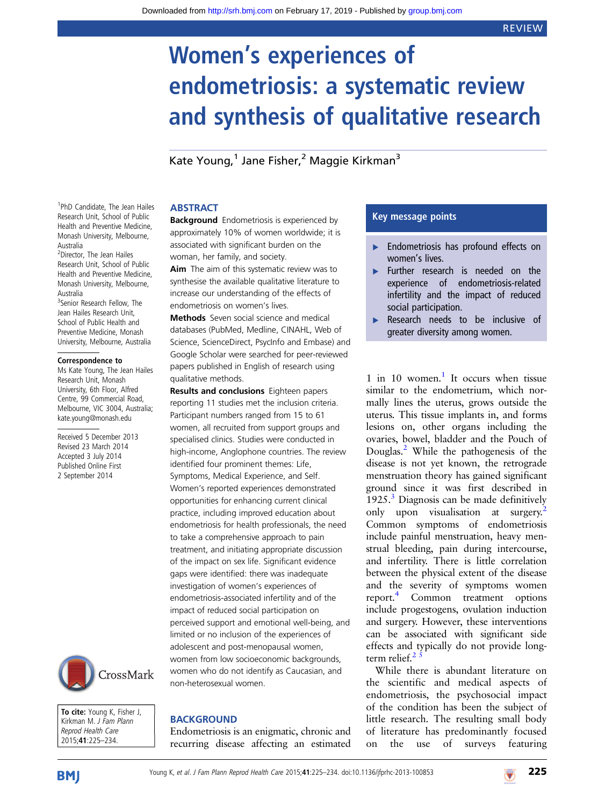# Women's experiences of endometriosis: a systematic review and synthesis of qualitative research

Kate Young,<sup>1</sup> Jane Fisher,<sup>2</sup> Maggie Kirkman<sup>3</sup>

## **ABSTRACT**

**Background** Endometriosis is experienced by approximately 10% of women worldwide; it is associated with significant burden on the woman, her family, and society.

Aim The aim of this systematic review was to synthesise the available qualitative literature to increase our understanding of the effects of endometriosis on women's lives.

**Methods** Seven social science and medical databases (PubMed, Medline, CINAHL, Web of Science, ScienceDirect, PsycInfo and Embase) and Google Scholar were searched for peer-reviewed papers published in English of research using qualitative methods.

Results and conclusions Eighteen papers reporting 11 studies met the inclusion criteria. Participant numbers ranged from 15 to 61 women, all recruited from support groups and specialised clinics. Studies were conducted in high-income, Anglophone countries. The review identified four prominent themes: Life, Symptoms, Medical Experience, and Self. Women's reported experiences demonstrated opportunities for enhancing current clinical practice, including improved education about endometriosis for health professionals, the need to take a comprehensive approach to pain treatment, and initiating appropriate discussion of the impact on sex life. Significant evidence gaps were identified: there was inadequate investigation of women's experiences of endometriosis-associated infertility and of the impact of reduced social participation on perceived support and emotional well-being, and limited or no inclusion of the experiences of adolescent and post-menopausal women, women from low socioeconomic backgrounds, women who do not identify as Caucasian, and non-heterosexual women.

## **BACKGROUND**

Endometriosis is an enigmatic, chronic and recurring disease affecting an estimated

# Key message points

- ▸ Endometriosis has profound effects on women's lives.
- ▸ Further research is needed on the experience of endometriosis-related infertility and the impact of reduced social participation.
- Research needs to be inclusive of greater diversity among women.

1 in 10 women. $<sup>1</sup>$  It occurs when tissue</sup> similar to the endometrium, which normally lines the uterus, grows outside the uterus. This tissue implants in, and forms lesions on, other organs including the ovaries, bowel, bladder and the Pouch of Douglas.<sup>2</sup> While the pathogenesis of the disease is not yet known, the retrograde menstruation theory has gained significant ground since it was first described in  $1925<sup>3</sup>$  Diagnosis can be made definitively only upon visualisation at surgery.<sup>2</sup> Common symptoms of endometriosis include painful menstruation, heavy menstrual bleeding, pain during intercourse, and infertility. There is little correlation between the physical extent of the disease and the severity of symptoms women report.4 Common treatment options include progestogens, ovulation induction and surgery. However, these interventions can be associated with significant side effects and typically do not provide longterm relief. $2<sup>5</sup>$ 

While there is abundant literature on the scientific and medical aspects of endometriosis, the psychosocial impact of the condition has been the subject of little research. The resulting small body of literature has predominantly focused on the use of surveys featuring

1 PhD Candidate, The Jean Hailes Research Unit, School of Public Health and Preventive Medicine, Monash University, Melbourne, Australia

2 Director, The Jean Hailes Research Unit, School of Public Health and Preventive Medicine, Monash University, Melbourne, Australia

<sup>3</sup>Senior Research Fellow, The Jean Hailes Research Unit, School of Public Health and Preventive Medicine, Monash University, Melbourne, Australia

#### Correspondence to

Ms Kate Young, The Jean Hailes Research Unit, Monash University, 6th Floor, Alfred Centre, 99 Commercial Road, Melbourne, VIC 3004, Australia; kate.young@monash.edu

Received 5 December 2013 Revised 23 March 2014 Accepted 3 July 2014 Published Online First 2 September 2014



To cite: Young K, Fisher J, Kirkman M. J Fam Plann Reprod Health Care 2015;41:225–234.

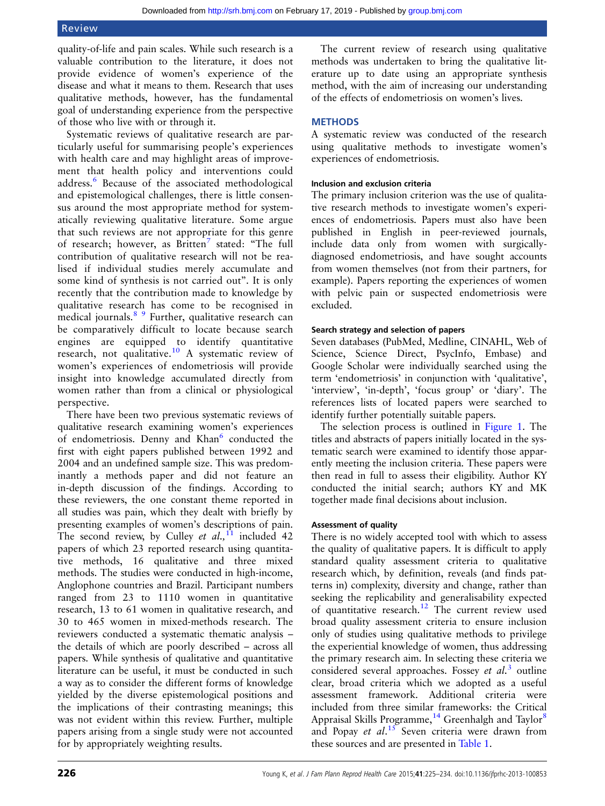quality-of-life and pain scales. While such research is a valuable contribution to the literature, it does not provide evidence of women's experience of the disease and what it means to them. Research that uses qualitative methods, however, has the fundamental goal of understanding experience from the perspective of those who live with or through it.

Systematic reviews of qualitative research are particularly useful for summarising people's experiences with health care and may highlight areas of improvement that health policy and interventions could address.<sup>6</sup> Because of the associated methodological and epistemological challenges, there is little consensus around the most appropriate method for systematically reviewing qualitative literature. Some argue that such reviews are not appropriate for this genre of research; however, as Britten<sup>7</sup> stated: "The full contribution of qualitative research will not be realised if individual studies merely accumulate and some kind of synthesis is not carried out". It is only recently that the contribution made to knowledge by qualitative research has come to be recognised in medical journals.<sup>8</sup> <sup>9</sup> Further, qualitative research can be comparatively difficult to locate because search engines are equipped to identify quantitative research, not qualitative.<sup>10</sup> A systematic review of women's experiences of endometriosis will provide insight into knowledge accumulated directly from women rather than from a clinical or physiological perspective.

There have been two previous systematic reviews of qualitative research examining women's experiences of endometriosis. Denny and Khan<sup>6</sup> conducted the first with eight papers published between 1992 and 2004 and an undefined sample size. This was predominantly a methods paper and did not feature an in-depth discussion of the findings. According to these reviewers, the one constant theme reported in all studies was pain, which they dealt with briefly by presenting examples of women's descriptions of pain. The second review, by Culley *et al.*,<sup>11</sup> included 42 papers of which 23 reported research using quantitative methods, 16 qualitative and three mixed methods. The studies were conducted in high-income, Anglophone countries and Brazil. Participant numbers ranged from 23 to 1110 women in quantitative research, 13 to 61 women in qualitative research, and 30 to 465 women in mixed-methods research. The reviewers conducted a systematic thematic analysis – the details of which are poorly described – across all papers. While synthesis of qualitative and quantitative literature can be useful, it must be conducted in such a way as to consider the different forms of knowledge yielded by the diverse epistemological positions and the implications of their contrasting meanings; this was not evident within this review. Further, multiple papers arising from a single study were not accounted for by appropriately weighting results.

The current review of research using qualitative methods was undertaken to bring the qualitative literature up to date using an appropriate synthesis method, with the aim of increasing our understanding of the effects of endometriosis on women's lives.

## **METHODS**

A systematic review was conducted of the research using qualitative methods to investigate women's experiences of endometriosis.

## Inclusion and exclusion criteria

The primary inclusion criterion was the use of qualitative research methods to investigate women's experiences of endometriosis. Papers must also have been published in English in peer-reviewed journals, include data only from women with surgicallydiagnosed endometriosis, and have sought accounts from women themselves (not from their partners, for example). Papers reporting the experiences of women with pelvic pain or suspected endometriosis were excluded.

#### Search strategy and selection of papers

Seven databases (PubMed, Medline, CINAHL, Web of Science, Science Direct, PsycInfo, Embase) and Google Scholar were individually searched using the term 'endometriosis' in conjunction with 'qualitative', 'interview', 'in-depth', 'focus group' or 'diary'. The references lists of located papers were searched to identify further potentially suitable papers.

The selection process is outlined in Figure 1. The titles and abstracts of papers initially located in the systematic search were examined to identify those apparently meeting the inclusion criteria. These papers were then read in full to assess their eligibility. Author KY conducted the initial search; authors KY and MK together made final decisions about inclusion.

#### Assessment of quality

There is no widely accepted tool with which to assess the quality of qualitative papers. It is difficult to apply standard quality assessment criteria to qualitative research which, by definition, reveals (and finds patterns in) complexity, diversity and change, rather than seeking the replicability and generalisability expected of quantitative research.<sup>12</sup> The current review used broad quality assessment criteria to ensure inclusion only of studies using qualitative methods to privilege the experiential knowledge of women, thus addressing the primary research aim. In selecting these criteria we considered several approaches. Fossey *et al.*<sup>3</sup> outline clear, broad criteria which we adopted as a useful assessment framework. Additional criteria were included from three similar frameworks: the Critical Appraisal Skills Programme,<sup>14</sup> Greenhalgh and Taylor<sup>8</sup> and Popay et al.<sup>15</sup> Seven criteria were drawn from these sources and are presented in Table 1.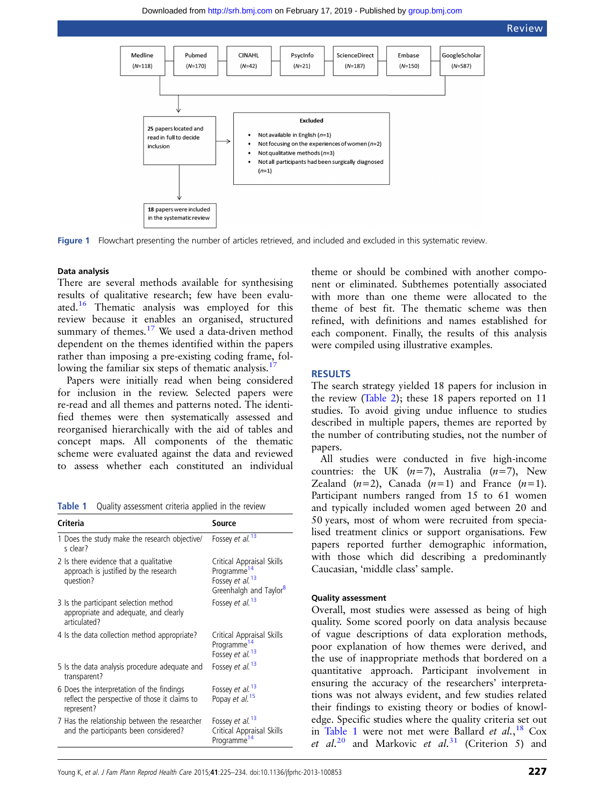Downloaded from http://srh.bmj.com on February 17, 2019 - Published by group.bmj.com



Figure 1 Flowchart presenting the number of articles retrieved, and included and excluded in this systematic review.

#### Data analysis

There are several methods available for synthesising results of qualitative research; few have been evaluated.<sup>16</sup> Thematic analysis was employed for this review because it enables an organised, structured summary of themes.<sup>17</sup> We used a data-driven method dependent on the themes identified within the papers rather than imposing a pre-existing coding frame, following the familiar six steps of thematic analysis.<sup>17</sup>

Papers were initially read when being considered for inclusion in the review. Selected papers were re-read and all themes and patterns noted. The identified themes were then systematically assessed and reorganised hierarchically with the aid of tables and concept maps. All components of the thematic scheme were evaluated against the data and reviewed to assess whether each constituted an individual

**Table 1** Quality assessment criteria applied in the review

| Criteria                                                                                                 | Source                                                                                                                    |  |
|----------------------------------------------------------------------------------------------------------|---------------------------------------------------------------------------------------------------------------------------|--|
| 1 Does the study make the research objective/<br>s clear?                                                | Fossey et al. <sup>13</sup>                                                                                               |  |
| 2 Is there evidence that a qualitative<br>approach is justified by the research<br>question?             | Critical Appraisal Skills<br>Programme <sup>14</sup><br>Fossey et al. <sup>13</sup><br>Greenhalgh and Taylor <sup>8</sup> |  |
| 3 Is the participant selection method<br>appropriate and adequate, and clearly<br>articulated?           | Fossey et al. <sup>13</sup>                                                                                               |  |
| 4 Is the data collection method appropriate?                                                             | Critical Appraisal Skills<br>Programme <sup>14</sup><br>Fossey et al. <sup>13</sup>                                       |  |
| 5 ls the data analysis procedure adequate and<br>transparent?                                            | Fossey et al. <sup>13</sup>                                                                                               |  |
| 6 Does the interpretation of the findings<br>reflect the perspective of those it claims to<br>represent? | Fossey et al. <sup>13</sup><br>Popay et al. <sup>15</sup>                                                                 |  |
| 7 Has the relationship between the researcher<br>and the participants been considered?                   | Fossey et al. <sup>13</sup><br>Critical Appraisal Skills<br>Programme                                                     |  |

theme or should be combined with another component or eliminated. Subthemes potentially associated with more than one theme were allocated to the theme of best fit. The thematic scheme was then refined, with definitions and names established for each component. Finally, the results of this analysis were compiled using illustrative examples.

#### RESULTS

The search strategy yielded 18 papers for inclusion in the review (Table 2); these 18 papers reported on 11 studies. To avoid giving undue influence to studies described in multiple papers, themes are reported by the number of contributing studies, not the number of papers.

All studies were conducted in five high-income countries: the UK  $(n=7)$ , Australia  $(n=7)$ , New Zealand  $(n=2)$ , Canada  $(n=1)$  and France  $(n=1)$ . Participant numbers ranged from 15 to 61 women and typically included women aged between 20 and 50 years, most of whom were recruited from specialised treatment clinics or support organisations. Few papers reported further demographic information, with those which did describing a predominantly Caucasian, 'middle class' sample.

#### Quality assessment

Overall, most studies were assessed as being of high quality. Some scored poorly on data analysis because of vague descriptions of data exploration methods, poor explanation of how themes were derived, and the use of inappropriate methods that bordered on a quantitative approach. Participant involvement in ensuring the accuracy of the researchers' interpretations was not always evident, and few studies related their findings to existing theory or bodies of knowledge. Specific studies where the quality criteria set out in Table 1 were not met were Ballard et al.,<sup>18</sup> Cox et al.<sup>20</sup> and Markovic et al.<sup>31</sup> (Criterion 5) and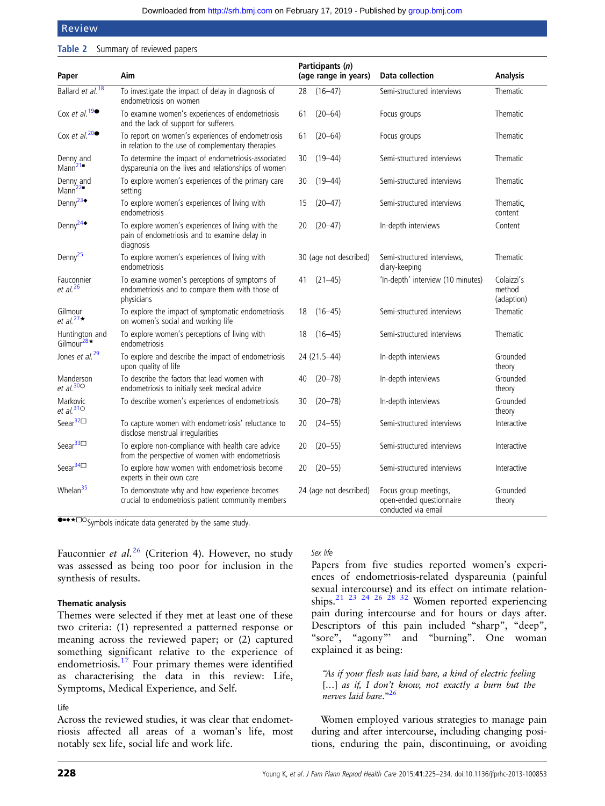Review

## Table 2 Summary of reviewed papers

| Paper                                                | Aim                                                                                                             | Participants (n)<br>(age range in years) |                        | <b>Data collection</b>                                                   | <b>Analysis</b>                    |
|------------------------------------------------------|-----------------------------------------------------------------------------------------------------------------|------------------------------------------|------------------------|--------------------------------------------------------------------------|------------------------------------|
| Ballard et al. <sup>18</sup>                         | To investigate the impact of delay in diagnosis of<br>endometriosis on women                                    | 28                                       | $(16 - 47)$            | Semi-structured interviews                                               | Thematic                           |
| Cox et al. $190$                                     | To examine women's experiences of endometriosis<br>and the lack of support for sufferers                        | 61                                       | $(20 - 64)$            | Focus groups                                                             | Thematic                           |
| Cox et al. $20$                                      | To report on women's experiences of endometriosis<br>in relation to the use of complementary therapies          | 61                                       | $(20 - 64)$            | Focus groups                                                             | Thematic                           |
| Denny and<br>Mann <sup>21</sup>                      | To determine the impact of endometriosis-associated<br>dyspareunia on the lives and relationships of women      | 30                                       | $(19 - 44)$            | Semi-structured interviews                                               | Thematic                           |
| Denny and<br>Mann <sup>22</sup>                      | To explore women's experiences of the primary care<br>setting                                                   | 30                                       | $(19 - 44)$            | Semi-structured interviews                                               | Thematic                           |
| Denny <sup>23◆</sup>                                 | To explore women's experiences of living with<br>endometriosis                                                  | 15                                       | $(20 - 47)$            | Semi-structured interviews                                               | Thematic,<br>content               |
| Denny <sup>24+</sup>                                 | To explore women's experiences of living with the<br>pain of endometriosis and to examine delay in<br>diagnosis | 20                                       | $(20 - 47)$            | In-depth interviews                                                      | Content                            |
| Denny <sup>25</sup>                                  | To explore women's experiences of living with<br>endometriosis                                                  | 30 (age not described)                   |                        | Semi-structured interviews.<br>diary-keeping                             | Thematic                           |
| Fauconnier<br>et al. <sup>26</sup>                   | To examine women's perceptions of symptoms of<br>endometriosis and to compare them with those of<br>physicians  | 41                                       | $(21 - 45)$            | 'In-depth' interview (10 minutes)                                        | Colaizzi's<br>method<br>(adaption) |
| Gilmour<br>et al. $^{27\star}$                       | To explore the impact of symptomatic endometriosis<br>on women's social and working life                        | 18                                       | $(16 - 45)$            | Semi-structured interviews                                               | Thematic                           |
| Huntington and<br>Gilmour <sup>28</sup> <sup>*</sup> | To explore women's perceptions of living with<br>endometriosis                                                  | 18                                       | $(16 - 45)$            | Semi-structured interviews                                               | Thematic                           |
| Jones et al. <sup>29</sup>                           | To explore and describe the impact of endometriosis<br>upon quality of life                                     | 24 (21.5-44)                             |                        | In-depth interviews                                                      | Grounded<br>theory                 |
| Manderson<br>et al. $300$                            | To describe the factors that lead women with<br>endometriosis to initially seek medical advice                  | 40                                       | $(20 - 78)$            | In-depth interviews                                                      | Grounded<br>theory                 |
| Markovic<br>et al. $310$                             | To describe women's experiences of endometriosis                                                                | 30                                       | $(20 - 78)$            | In-depth interviews                                                      | Grounded<br>theory                 |
| Seear <sup>32</sup>                                  | To capture women with endometriosis' reluctance to<br>disclose menstrual irregularities                         | 20                                       | $(24 - 55)$            | Semi-structured interviews                                               | Interactive                        |
| Seear <sup>33□</sup>                                 | To explore non-compliance with health care advice<br>from the perspective of women with endometriosis           | 20                                       | $(20 - 55)$            | Semi-structured interviews                                               | Interactive                        |
| Seear <sup>34</sup>                                  | To explore how women with endometriosis become<br>experts in their own care                                     | 20                                       | $(20 - 55)$            | Semi-structured interviews                                               | Interactive                        |
| Whelan <sup>35</sup><br>$+ \Box \cap$                | To demonstrate why and how experience becomes<br>crucial to endometriosis patient community members             |                                          | 24 (age not described) | Focus group meetings,<br>open-ended questionnaire<br>conducted via email | Grounded<br>theory                 |

 $\mathbf{F} \sqcup \cup$ Symbols indicate data generated by the same study.

Fauconnier et  $al.^{26}$  (Criterion 4). However, no study was assessed as being too poor for inclusion in the synthesis of results.

#### Thematic analysis

Themes were selected if they met at least one of these two criteria: (1) represented a patterned response or meaning across the reviewed paper; or (2) captured something significant relative to the experience of endometriosis.<sup>17</sup> Four primary themes were identified as characterising the data in this review: Life, Symptoms, Medical Experience, and Self.

## Life

Across the reviewed studies, it was clear that endometriosis affected all areas of a woman's life, most notably sex life, social life and work life.

#### Sex life

Papers from five studies reported women's experiences of endometriosis-related dyspareunia (painful sexual intercourse) and its effect on intimate relationships.<sup>21</sup> <sup>23</sup> <sup>24</sup> <sup>26</sup> <sup>28</sup> <sup>32</sup> Women reported experiencing pain during intercourse and for hours or days after. Descriptors of this pain included "sharp", "deep", "sore", "agony"' and "burning". One woman explained it as being:

"As if your flesh was laid bare, a kind of electric feeling [...] as if, I don't know, not exactly a burn but the nerves laid bare."26

Women employed various strategies to manage pain during and after intercourse, including changing positions, enduring the pain, discontinuing, or avoiding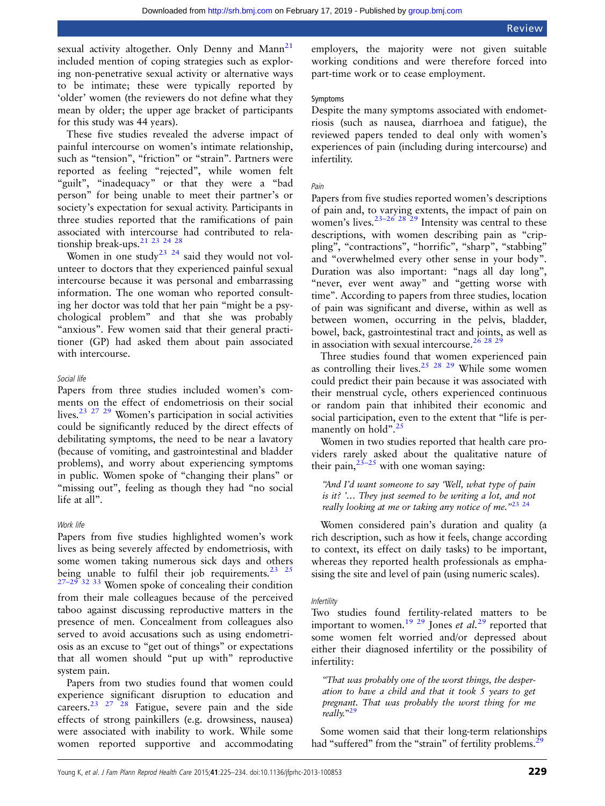sexual activity altogether. Only Denny and Mann<sup>21</sup> included mention of coping strategies such as exploring non-penetrative sexual activity or alternative ways to be intimate; these were typically reported by 'older' women (the reviewers do not define what they mean by older; the upper age bracket of participants for this study was 44 years).

These five studies revealed the adverse impact of painful intercourse on women's intimate relationship, such as "tension", "friction" or "strain". Partners were reported as feeling "rejected", while women felt "guilt", "inadequacy" or that they were a "bad person" for being unable to meet their partner's or society's expectation for sexual activity. Participants in three studies reported that the ramifications of pain associated with intercourse had contributed to relationship break-ups.21 23 24 28

Women in one study<sup>23 24</sup> said they would not volunteer to doctors that they experienced painful sexual intercourse because it was personal and embarrassing information. The one woman who reported consulting her doctor was told that her pain "might be a psychological problem" and that she was probably "anxious". Few women said that their general practitioner (GP) had asked them about pain associated with intercourse.

#### Social life

Papers from three studies included women's comments on the effect of endometriosis on their social lives.23 27 29 Women's participation in social activities could be significantly reduced by the direct effects of debilitating symptoms, the need to be near a lavatory (because of vomiting, and gastrointestinal and bladder problems), and worry about experiencing symptoms in public. Women spoke of "changing their plans" or "missing out", feeling as though they had "no social life at all".

#### Work life

Papers from five studies highlighted women's work lives as being severely affected by endometriosis, with some women taking numerous sick days and others being unable to fulfil their job requirements.  $23 \times 25$  $27-29$  32 33 Women spoke of concealing their condition from their male colleagues because of the perceived taboo against discussing reproductive matters in the presence of men. Concealment from colleagues also served to avoid accusations such as using endometriosis as an excuse to "get out of things" or expectations that all women should "put up with" reproductive system pain.

Papers from two studies found that women could experience significant disruption to education and careers.23 27 28 Fatigue, severe pain and the side effects of strong painkillers (e.g. drowsiness, nausea) were associated with inability to work. While some women reported supportive and accommodating employers, the majority were not given suitable working conditions and were therefore forced into part-time work or to cease employment.

#### Symptoms

Despite the many symptoms associated with endometriosis (such as nausea, diarrhoea and fatigue), the reviewed papers tended to deal only with women's experiences of pain (including during intercourse) and infertility.

#### Pain

Papers from five studies reported women's descriptions of pain and, to varying extents, the impact of pain on women's lives. $23-26$   $28$   $29$  Intensity was central to these descriptions, with women describing pain as "crippling", "contractions", "horrific", "sharp", "stabbing" and "overwhelmed every other sense in your body". Duration was also important: "nags all day long", "never, ever went away" and "getting worse with time". According to papers from three studies, location of pain was significant and diverse, within as well as between women, occurring in the pelvis, bladder, bowel, back, gastrointestinal tract and joints, as well as in association with sexual intercourse.<sup>26</sup> <sup>28</sup> <sup>29</sup>

Three studies found that women experienced pain as controlling their lives.<sup>25 28 29</sup> While some women could predict their pain because it was associated with their menstrual cycle, others experienced continuous or random pain that inhibited their economic and social participation, even to the extent that "life is permanently on hold".<sup>25</sup>

Women in two studies reported that health care providers rarely asked about the qualitative nature of their pain,  $23-25$  with one woman saying:

"And I'd want someone to say 'Well, what type of pain is it? '… They just seemed to be writing a lot, and not really looking at me or taking any notice of me."23 24

Women considered pain's duration and quality (a rich description, such as how it feels, change according to context, its effect on daily tasks) to be important, whereas they reported health professionals as emphasising the site and level of pain (using numeric scales).

#### **Infertility**

Two studies found fertility-related matters to be important to women.<sup>19 29</sup> Jones *et al.*<sup>29</sup> reported that some women felt worried and/or depressed about either their diagnosed infertility or the possibility of infertility:

"That was probably one of the worst things, the desperation to have a child and that it took 5 years to get pregnant. That was probably the worst thing for me really."29

Some women said that their long-term relationships had "suffered" from the "strain" of fertility problems.<sup>2</sup>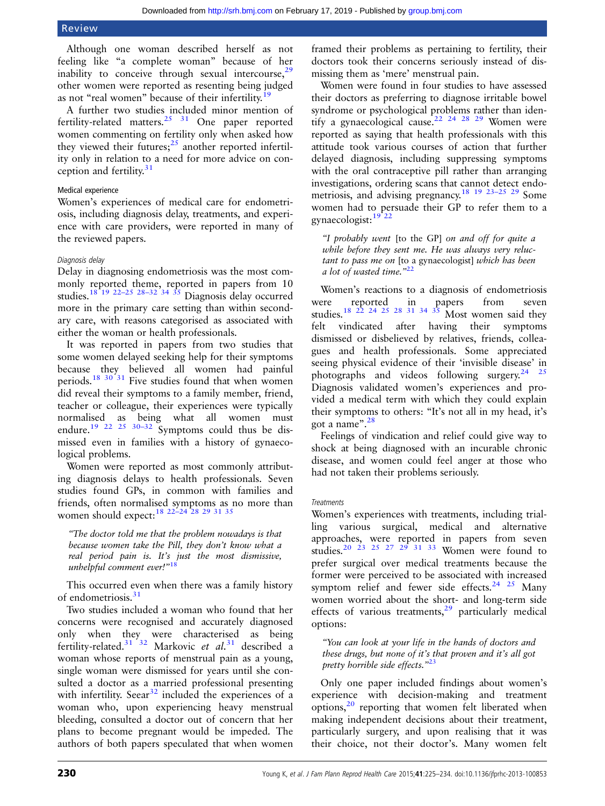## Review

Although one woman described herself as not feeling like "a complete woman" because of her inability to conceive through sexual intercourse,  $2^9$ other women were reported as resenting being judged as not "real women" because of their infertility.<sup>1</sup>

A further two studies included minor mention of fertility-related matters.<sup>25</sup>  $31$  One paper reported women commenting on fertility only when asked how they viewed their futures; $^{25}$  another reported infertility only in relation to a need for more advice on conception and fertility.<sup>31</sup>

## Medical experience

Women's experiences of medical care for endometriosis, including diagnosis delay, treatments, and experience with care providers, were reported in many of the reviewed papers.

## Diagnosis delay

Delay in diagnosing endometriosis was the most commonly reported theme, reported in papers from 10 studies.18 19 22–25 28–32 34 35 Diagnosis delay occurred more in the primary care setting than within secondary care, with reasons categorised as associated with either the woman or health professionals.

It was reported in papers from two studies that some women delayed seeking help for their symptoms because they believed all women had painful periods.18 30 31 Five studies found that when women did reveal their symptoms to a family member, friend, teacher or colleague, their experiences were typically normalised as being what all women must endure.<sup>19</sup> <sup>22</sup> <sup>25</sup> <sup>30–32</sup> Symptoms could thus be dismissed even in families with a history of gynaecological problems.

Women were reported as most commonly attributing diagnosis delays to health professionals. Seven studies found GPs, in common with families and friends, often normalised symptoms as no more than women should expect:18 22–24 28 29 31 35

"The doctor told me that the problem nowadays is that because women take the Pill, they don't know what a real period pain is. It's just the most dismissive, unhelpful comment ever!"<sup>18</sup>

This occurred even when there was a family history of endometriosis.<sup>31</sup>

Two studies included a woman who found that her concerns were recognised and accurately diagnosed only when they were characterised as being fertility-related.<sup>31</sup> <sup>32</sup> Markovic et al.<sup>31</sup> described a woman whose reports of menstrual pain as a young, single woman were dismissed for years until she consulted a doctor as a married professional presenting with infertility. Seear<sup>32</sup> included the experiences of a woman who, upon experiencing heavy menstrual bleeding, consulted a doctor out of concern that her plans to become pregnant would be impeded. The authors of both papers speculated that when women

framed their problems as pertaining to fertility, their doctors took their concerns seriously instead of dismissing them as 'mere' menstrual pain.

Women were found in four studies to have assessed their doctors as preferring to diagnose irritable bowel syndrome or psychological problems rather than identify a gynaecological cause.<sup>22 24 28 29</sup> Women were reported as saying that health professionals with this attitude took various courses of action that further delayed diagnosis, including suppressing symptoms with the oral contraceptive pill rather than arranging investigations, ordering scans that cannot detect endometriosis, and advising pregnancy.18 19 23–25 29 Some women had to persuade their GP to refer them to a gynaecologist: $19^{22}$ 

"I probably went [to the GP] on and off for quite a while before they sent me. He was always very reluctant to pass me on [to a gynaecologist] which has been a lot of wasted time." $^{22}$ 

Women's reactions to a diagnosis of endometriosis were reported in papers from seven studies.<sup>18 22 24 25 28 31 34 35</sup> Most women said they felt vindicated after having their symptoms dismissed or disbelieved by relatives, friends, colleagues and health professionals. Some appreciated seeing physical evidence of their 'invisible disease' in photographs and videos following surgery.<sup>24 25</sup> Diagnosis validated women's experiences and provided a medical term with which they could explain their symptoms to others: "It's not all in my head, it's got a name". 28

Feelings of vindication and relief could give way to shock at being diagnosed with an incurable chronic disease, and women could feel anger at those who had not taken their problems seriously.

## **Treatments**

Women's experiences with treatments, including trialling various surgical, medical and alternative approaches, were reported in papers from seven studies.<sup>20</sup> <sup>23</sup> <sup>25</sup> <sup>27</sup> <sup>29</sup> <sup>31</sup> <sup>33</sup> Women were found to prefer surgical over medical treatments because the former were perceived to be associated with increased symptom relief and fewer side effects.<sup>24</sup> <sup>25</sup> Many women worried about the short- and long-term side effects of various treatments, $29$  particularly medical options:

"You can look at your life in the hands of doctors and these drugs, but none of it's that proven and it's all got pretty horrible side effects."<sup>23</sup>

Only one paper included findings about women's experience with decision-making and treatment options,<sup>20</sup> reporting that women felt liberated when making independent decisions about their treatment, particularly surgery, and upon realising that it was their choice, not their doctor's. Many women felt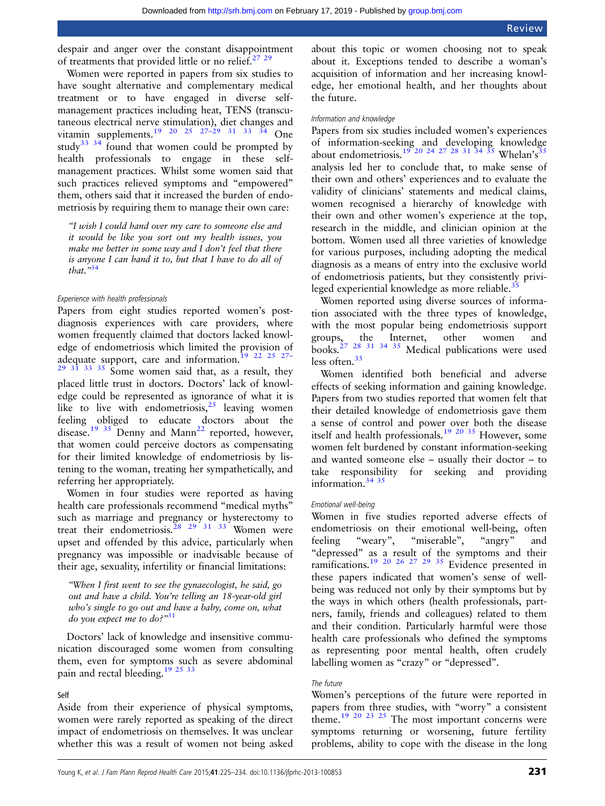despair and anger over the constant disappointment of treatments that provided little or no relief. $27\frac{29}{29}$ 

Women were reported in papers from six studies to have sought alternative and complementary medical treatment or to have engaged in diverse selfmanagement practices including heat, TENS (transcutaneous electrical nerve stimulation), diet changes and vitamin supplements.<sup>19</sup> <sup>20</sup> <sup>25</sup> <sup>27–29</sup> <sup>31</sup> <sup>33</sup> <sup>34</sup> One study<sup>33</sup> <sup>34</sup> found that women could be prompted by health professionals to engage in these selfmanagement practices. Whilst some women said that such practices relieved symptoms and "empowered" them, others said that it increased the burden of endometriosis by requiring them to manage their own care:

"I wish I could hand over my care to someone else and it would be like you sort out my health issues, you make me better in some way and I don't feel that there is anyone I can hand it to, but that I have to do all of that."<sup>34</sup>

#### Experience with health professionals

Papers from eight studies reported women's postdiagnosis experiences with care providers, where women frequently claimed that doctors lacked knowledge of endometriosis which limited the provision of adequate support, care and information.<sup>19</sup> <sup>22</sup> <sup>25</sup> <sup>27</sup>- $29\frac{31\frac{33}{33}}{35}$  Some women said that, as a result, they placed little trust in doctors. Doctors' lack of knowledge could be represented as ignorance of what it is like to live with endometriosis,  $2^5$  leaving women feeling obliged to educate doctors about the disease.<sup>19 35</sup> Denny and Mann<sup>22</sup> reported, however, that women could perceive doctors as compensating for their limited knowledge of endometriosis by listening to the woman, treating her sympathetically, and referring her appropriately.

Women in four studies were reported as having health care professionals recommend "medical myths" such as marriage and pregnancy or hysterectomy to treat their endometriosis.28 29 31 33 Women were upset and offended by this advice, particularly when pregnancy was impossible or inadvisable because of their age, sexuality, infertility or financial limitations:

"When I first went to see the gynaecologist, he said, go out and have a child. You're telling an 18-year-old girl who's single to go out and have a baby, come on, what do you expect me to do?"31

Doctors' lack of knowledge and insensitive communication discouraged some women from consulting them, even for symptoms such as severe abdominal pain and rectal bleeding.19 25 33

Self

Aside from their experience of physical symptoms, women were rarely reported as speaking of the direct impact of endometriosis on themselves. It was unclear whether this was a result of women not being asked

about this topic or women choosing not to speak about it. Exceptions tended to describe a woman's acquisition of information and her increasing knowledge, her emotional health, and her thoughts about the future.

#### Information and knowledge

Papers from six studies included women's experiences of information-seeking and developing knowledge about endometriosis.<sup>19 20</sup> <sup>24</sup> <sup>27</sup> <sup>28</sup> <sup>31</sup> <sup>34</sup> <sup>35</sup> Whelan's<sup>35</sup> analysis led her to conclude that, to make sense of their own and others' experiences and to evaluate the validity of clinicians' statements and medical claims, women recognised a hierarchy of knowledge with their own and other women's experience at the top, research in the middle, and clinician opinion at the bottom. Women used all three varieties of knowledge for various purposes, including adopting the medical diagnosis as a means of entry into the exclusive world of endometriosis patients, but they consistently privileged experiential knowledge as more reliable.<sup>3</sup>

Women reported using diverse sources of information associated with the three types of knowledge, with the most popular being endometriosis support groups, the Internet, other women and books.<sup>27 28 31 34 35</sup> Medical publications were used less often.<sup>35</sup>

Women identified both beneficial and adverse effects of seeking information and gaining knowledge. Papers from two studies reported that women felt that their detailed knowledge of endometriosis gave them a sense of control and power over both the disease itself and health professionals.19 20 35 However, some women felt burdened by constant information-seeking and wanted someone else – usually their doctor – to take responsibility for seeking and providing information.<sup>34</sup> 35

#### Emotional well-being

Women in five studies reported adverse effects of endometriosis on their emotional well-being, often feeling "weary", "miserable", "angry" and "depressed" as a result of the symptoms and their ramifications.<sup>19 20 26 27 29 35</sup> Evidence presented in these papers indicated that women's sense of wellbeing was reduced not only by their symptoms but by the ways in which others (health professionals, partners, family, friends and colleagues) related to them and their condition. Particularly harmful were those health care professionals who defined the symptoms as representing poor mental health, often crudely labelling women as "crazy" or "depressed".

#### The future

Women's perceptions of the future were reported in papers from three studies, with "worry" a consistent theme.<sup>19 20 23 25</sup> The most important concerns were symptoms returning or worsening, future fertility problems, ability to cope with the disease in the long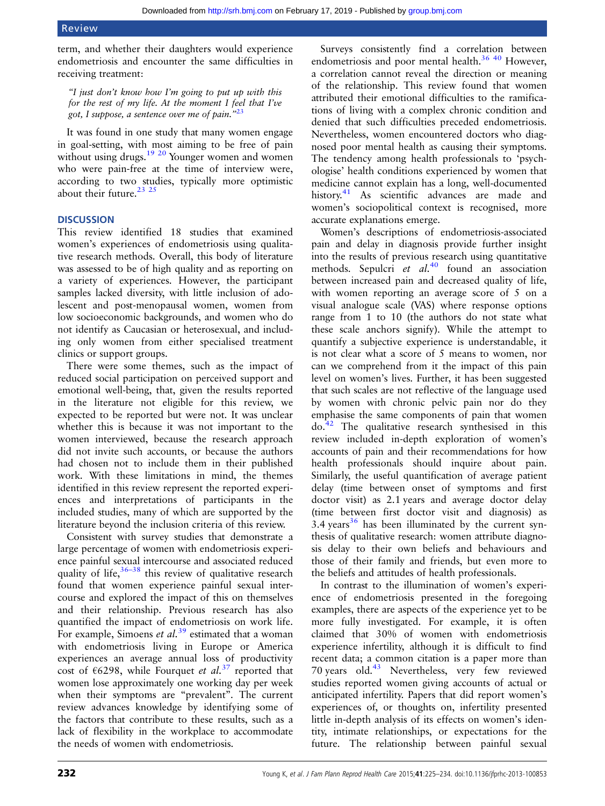term, and whether their daughters would experience endometriosis and encounter the same difficulties in receiving treatment:

"I just don't know how I'm going to put up with this for the rest of my life. At the moment I feel that I've got, I suppose, a sentence over me of pain." $^{23}$ 

It was found in one study that many women engage in goal-setting, with most aiming to be free of pain without using drugs.<sup>19 20</sup> Younger women and women who were pain-free at the time of interview were, according to two studies, typically more optimistic about their future. $23$   $25$ 

## **DISCUSSION**

This review identified 18 studies that examined women's experiences of endometriosis using qualitative research methods. Overall, this body of literature was assessed to be of high quality and as reporting on a variety of experiences. However, the participant samples lacked diversity, with little inclusion of adolescent and post-menopausal women, women from low socioeconomic backgrounds, and women who do not identify as Caucasian or heterosexual, and including only women from either specialised treatment clinics or support groups.

There were some themes, such as the impact of reduced social participation on perceived support and emotional well-being, that, given the results reported in the literature not eligible for this review, we expected to be reported but were not. It was unclear whether this is because it was not important to the women interviewed, because the research approach did not invite such accounts, or because the authors had chosen not to include them in their published work. With these limitations in mind, the themes identified in this review represent the reported experiences and interpretations of participants in the included studies, many of which are supported by the literature beyond the inclusion criteria of this review.

Consistent with survey studies that demonstrate a large percentage of women with endometriosis experience painful sexual intercourse and associated reduced quality of life,  $36-38$  this review of qualitative research found that women experience painful sexual intercourse and explored the impact of this on themselves and their relationship. Previous research has also quantified the impact of endometriosis on work life. For example, Simoens et  $al.^{39}$  estimated that a woman with endometriosis living in Europe or America experiences an average annual loss of productivity cost of  $\epsilon$ 6298, while Fourquet *et al.*<sup>37</sup> reported that women lose approximately one working day per week when their symptoms are "prevalent". The current review advances knowledge by identifying some of the factors that contribute to these results, such as a lack of flexibility in the workplace to accommodate the needs of women with endometriosis.

Surveys consistently find a correlation between endometriosis and poor mental health. $36\frac{40}{1}$  However, a correlation cannot reveal the direction or meaning of the relationship. This review found that women attributed their emotional difficulties to the ramifications of living with a complex chronic condition and denied that such difficulties preceded endometriosis. Nevertheless, women encountered doctors who diagnosed poor mental health as causing their symptoms. The tendency among health professionals to 'psychologise' health conditions experienced by women that medicine cannot explain has a long, well-documented history.<sup>41</sup> As scientific advances are made and women's sociopolitical context is recognised, more accurate explanations emerge.

Women's descriptions of endometriosis-associated pain and delay in diagnosis provide further insight into the results of previous research using quantitative methods. Sepulcri et  $al^{40}$  found an association between increased pain and decreased quality of life, with women reporting an average score of 5 on a visual analogue scale (VAS) where response options range from 1 to 10 (the authors do not state what these scale anchors signify). While the attempt to quantify a subjective experience is understandable, it is not clear what a score of 5 means to women, nor can we comprehend from it the impact of this pain level on women's lives. Further, it has been suggested that such scales are not reflective of the language used by women with chronic pelvic pain nor do they emphasise the same components of pain that women  $\omega$ <sup>42</sup> The qualitative research synthesised in this review included in-depth exploration of women's accounts of pain and their recommendations for how health professionals should inquire about pain. Similarly, the useful quantification of average patient delay (time between onset of symptoms and first doctor visit) as 2.1 years and average doctor delay (time between first doctor visit and diagnosis) as 3.4 years<sup>36</sup> has been illuminated by the current synthesis of qualitative research: women attribute diagnosis delay to their own beliefs and behaviours and those of their family and friends, but even more to the beliefs and attitudes of health professionals.

In contrast to the illumination of women's experience of endometriosis presented in the foregoing examples, there are aspects of the experience yet to be more fully investigated. For example, it is often claimed that 30% of women with endometriosis experience infertility, although it is difficult to find recent data; a common citation is a paper more than 70 years old.<sup>43</sup> Nevertheless, very few reviewed studies reported women giving accounts of actual or anticipated infertility. Papers that did report women's experiences of, or thoughts on, infertility presented little in-depth analysis of its effects on women's identity, intimate relationships, or expectations for the future. The relationship between painful sexual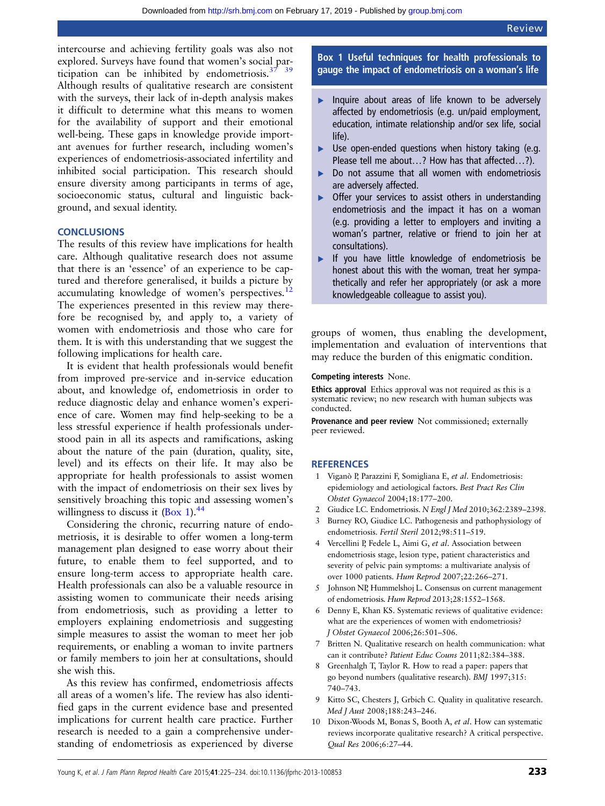intercourse and achieving fertility goals was also not explored. Surveys have found that women's social participation can be inhibited by endometriosis.  $37 \times 39$ Although results of qualitative research are consistent with the surveys, their lack of in-depth analysis makes it difficult to determine what this means to women for the availability of support and their emotional well-being. These gaps in knowledge provide important avenues for further research, including women's experiences of endometriosis-associated infertility and inhibited social participation. This research should ensure diversity among participants in terms of age, socioeconomic status, cultural and linguistic background, and sexual identity.

## **CONCLUSIONS**

The results of this review have implications for health care. Although qualitative research does not assume that there is an 'essence' of an experience to be captured and therefore generalised, it builds a picture by accumulating knowledge of women's perspectives. $^{12}$ The experiences presented in this review may therefore be recognised by, and apply to, a variety of women with endometriosis and those who care for them. It is with this understanding that we suggest the following implications for health care.

It is evident that health professionals would benefit from improved pre-service and in-service education about, and knowledge of, endometriosis in order to reduce diagnostic delay and enhance women's experience of care. Women may find help-seeking to be a less stressful experience if health professionals understood pain in all its aspects and ramifications, asking about the nature of the pain (duration, quality, site, level) and its effects on their life. It may also be appropriate for health professionals to assist women with the impact of endometriosis on their sex lives by sensitively broaching this topic and assessing women's willingness to discuss it  $(Box 1)$ .<sup>44</sup>

Considering the chronic, recurring nature of endometriosis, it is desirable to offer women a long-term management plan designed to ease worry about their future, to enable them to feel supported, and to ensure long-term access to appropriate health care. Health professionals can also be a valuable resource in assisting women to communicate their needs arising from endometriosis, such as providing a letter to employers explaining endometriosis and suggesting simple measures to assist the woman to meet her job requirements, or enabling a woman to invite partners or family members to join her at consultations, should she wish this.

As this review has confirmed, endometriosis affects all areas of a women's life. The review has also identified gaps in the current evidence base and presented implications for current health care practice. Further research is needed to a gain a comprehensive understanding of endometriosis as experienced by diverse

# Box 1 Useful techniques for health professionals to gauge the impact of endometriosis on a woman's life

- $\triangleright$  Inquire about areas of life known to be adversely affected by endometriosis (e.g. un/paid employment, education, intimate relationship and/or sex life, social life).
- Use open-ended questions when history taking (e.g. Please tell me about…? How has that affected…?).
- ▶ Do not assume that all women with endometriosis are adversely affected.
- ▶ Offer your services to assist others in understanding endometriosis and the impact it has on a woman (e.g. providing a letter to employers and inviting a woman's partner, relative or friend to join her at consultations).
- ▸ If you have little knowledge of endometriosis be honest about this with the woman, treat her sympathetically and refer her appropriately (or ask a more knowledgeable colleague to assist you).

groups of women, thus enabling the development, implementation and evaluation of interventions that may reduce the burden of this enigmatic condition.

#### Competing interests None.

Ethics approval Ethics approval was not required as this is a systematic review; no new research with human subjects was conducted.

Provenance and peer review Not commissioned; externally peer reviewed.

## **REFERENCES**

- 1 Viganò P, Parazzini F, Somigliana E, et al. Endometriosis: epidemiology and aetiological factors. Best Pract Res Clin Obstet Gynaecol 2004;18:177–200.
- 2 Giudice LC. Endometriosis. N Engl J Med 2010;362:2389–2398.
- Burney RO, Giudice LC. Pathogenesis and pathophysiology of endometriosis. Fertil Steril 2012;98:511–519.
- 4 Vercellini P, Fedele L, Aimi G, et al. Association between endometriosis stage, lesion type, patient characteristics and severity of pelvic pain symptoms: a multivariate analysis of over 1000 patients. Hum Reprod 2007;22:266–271.
- 5 Johnson NP, Hummelshoj L. Consensus on current management of endometriosis. Hum Reprod 2013;28:1552–1568.
- 6 Denny E, Khan KS. Systematic reviews of qualitative evidence: what are the experiences of women with endometriosis? J Obstet Gynaecol 2006;26:501–506.
- 7 Britten N. Qualitative research on health communication: what can it contribute? Patient Educ Couns 2011;82:384–388.
- Greenhalgh T, Taylor R. How to read a paper: papers that go beyond numbers (qualitative research). BMJ 1997;315: 740–743.
- 9 Kitto SC, Chesters J, Grbich C. Quality in qualitative research. Med J Aust 2008;188:243–246.
- 10 Dixon-Woods M, Bonas S, Booth A, et al. How can systematic reviews incorporate qualitative research? A critical perspective. Qual Res 2006;6:27–44.